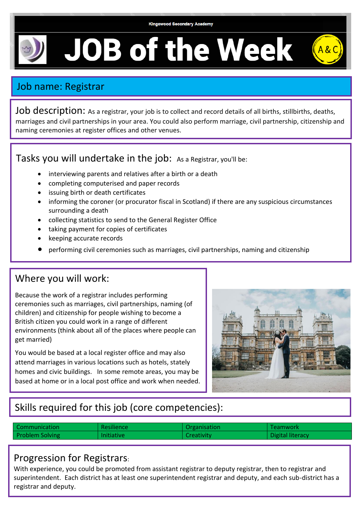**Kingswood Secondary Academy** 

**JOB of the Week** 

## Job name: Registrar

Job description: As a registrar, your job is to collect and record details of all births, stillbirths, deaths, marriages and civil partnerships in your area. You could also perform marriage, civil partnership, citizenship and naming ceremonies at register offices and other venues.

Tasks you will undertake in the job: As a Registrar, you'll be:

- interviewing parents and relatives after a birth or a death
- completing computerised and paper records
- issuing birth or death certificates
- informing the coroner (or procurator fiscal in Scotland) if there are any suspicious circumstances surrounding a death
- collecting statistics to send to the General Register Office
- taking payment for copies of certificates
- keeping accurate records
- performing civil ceremonies such as marriages, civil partnerships, naming and citizenship

### Where you will work:

Because the work of a registrar includes performing ceremonies such as marriages, civil partnerships, naming (of children) and citizenship for people wishing to become a British citizen you could work in a range of different environments (think about all of the places where people can get married)

You would be based at a local register office and may also attend marriages in various locations such as hotels, stately homes and civic buildings. In some remote areas, you may be based at home or in a local post office and work when needed.



# Skills required for this job (core competencies):

| Communication          | <b>Resilience</b> | Organisation | Teamwork         |
|------------------------|-------------------|--------------|------------------|
| <b>Problem Solving</b> | <b>Initiative</b> | Creativity.  | Digital literacy |

### Progression for Registrars:

With experience, you could be promoted from assistant registrar to deputy registrar, then to registrar and superintendent. Each district has at least one superintendent registrar and deputy, and each sub-district has a registrar and deputy.